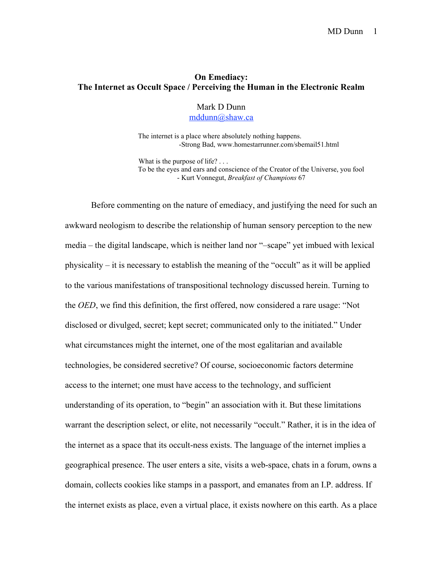## On Emediacy: The Internet as Occult Space / Perceiving the Human in the Electronic Realm

Mark D Dunn mddunn@shaw.ca

 The internet is a place where absolutely nothing happens. -Strong Bad, www.homestarrunner.com/sbemail51.html

What is the purpose of life? ... To be the eyes and ears and conscience of the Creator of the Universe, you fool - Kurt Vonnegut, *Breakfast of Champions* 67

Before commenting on the nature of emediacy, and justifying the need for such an awkward neologism to describe the relationship of human sensory perception to the new media – the digital landscape, which is neither land nor "–scape" yet imbued with lexical physicality – it is necessary to establish the meaning of the "occult" as it will be applied to the various manifestations of transpositional technology discussed herein. Turning to the *OED*, we find this definition, the first offered, now considered a rare usage: "Not disclosed or divulged, secret; kept secret; communicated only to the initiated." Under what circumstances might the internet, one of the most egalitarian and available technologies, be considered secretive? Of course, socioeconomic factors determine access to the internet; one must have access to the technology, and sufficient understanding of its operation, to "begin" an association with it. But these limitations warrant the description select, or elite, not necessarily "occult." Rather, it is in the idea of the internet as a space that its occult-ness exists. The language of the internet implies a geographical presence. The user enters a site, visits a web-space, chats in a forum, owns a domain, collects cookies like stamps in a passport, and emanates from an I.P. address. If the internet exists as place, even a virtual place, it exists nowhere on this earth. As a place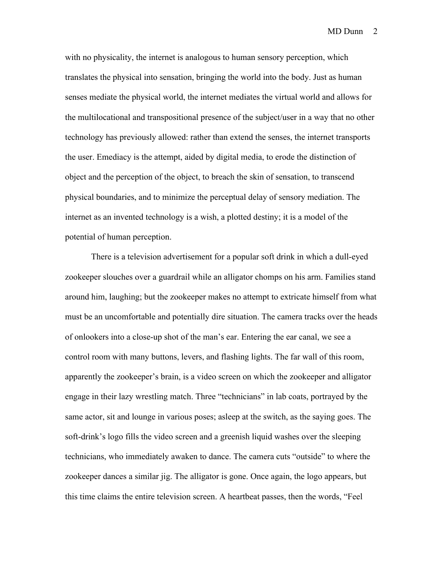with no physicality, the internet is analogous to human sensory perception, which translates the physical into sensation, bringing the world into the body. Just as human senses mediate the physical world, the internet mediates the virtual world and allows for the multilocational and transpositional presence of the subject/user in a way that no other technology has previously allowed: rather than extend the senses, the internet transports the user. Emediacy is the attempt, aided by digital media, to erode the distinction of object and the perception of the object, to breach the skin of sensation, to transcend physical boundaries, and to minimize the perceptual delay of sensory mediation. The internet as an invented technology is a wish, a plotted destiny; it is a model of the potential of human perception.

There is a television advertisement for a popular soft drink in which a dull-eyed zookeeper slouches over a guardrail while an alligator chomps on his arm. Families stand around him, laughing; but the zookeeper makes no attempt to extricate himself from what must be an uncomfortable and potentially dire situation. The camera tracks over the heads of onlookers into a close-up shot of the man's ear. Entering the ear canal, we see a control room with many buttons, levers, and flashing lights. The far wall of this room, apparently the zookeeper's brain, is a video screen on which the zookeeper and alligator engage in their lazy wrestling match. Three "technicians" in lab coats, portrayed by the same actor, sit and lounge in various poses; asleep at the switch, as the saying goes. The soft-drink's logo fills the video screen and a greenish liquid washes over the sleeping technicians, who immediately awaken to dance. The camera cuts "outside" to where the zookeeper dances a similar jig. The alligator is gone. Once again, the logo appears, but this time claims the entire television screen. A heartbeat passes, then the words, "Feel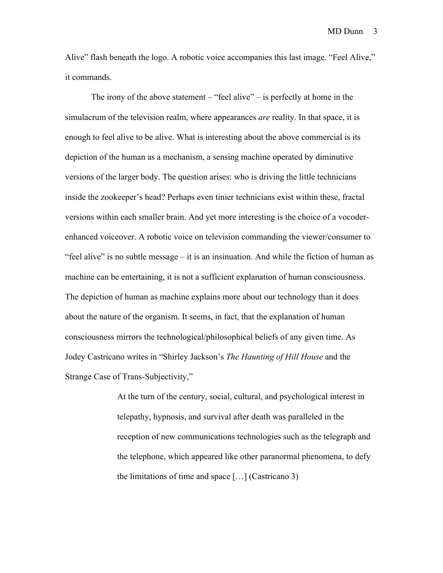Alive" flash beneath the logo. A robotic voice accompanies this last image. "Feel Alive," it commands.

The irony of the above statement – "feel alive" – is perfectly at home in the simulacrum of the television realm, where appearances *are* reality. In that space, it is enough to feel alive to be alive. What is interesting about the above commercial is its depiction of the human as a mechanism, a sensing machine operated by diminutive versions of the larger body. The question arises: who is driving the little technicians inside the zookeeper's head? Perhaps even tinier technicians exist within these, fractal versions within each smaller brain. And yet more interesting is the choice of a vocoderenhanced voiceover. A robotic voice on television commanding the viewer/consumer to "feel alive" is no subtle message – it is an insinuation. And while the fiction of human as machine can be entertaining, it is not a sufficient explanation of human consciousness. The depiction of human as machine explains more about our technology than it does about the nature of the organism. It seems, in fact, that the explanation of human consciousness mirrors the technological/philosophical beliefs of any given time. As Jodey Castricano writes in "Shirley Jackson's *The Haunting of Hill House* and the Strange Case of Trans-Subjectivity,"

> At the turn of the century, social, cultural, and psychological interest in telepathy, hypnosis, and survival after death was paralleled in the reception of new communications technologies such as the telegraph and the telephone, which appeared like other paranormal phenomena, to defy the limitations of time and space  $[\dots]$  (Castricano 3)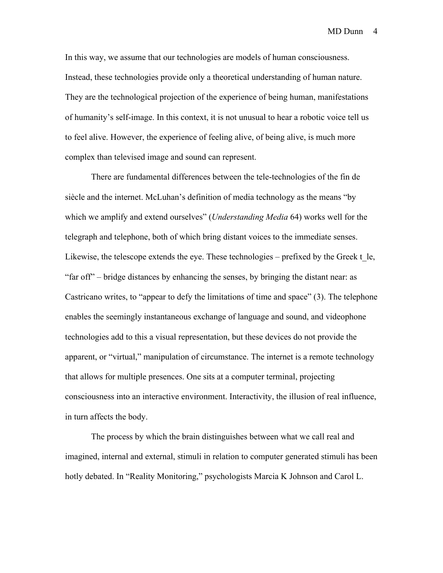In this way, we assume that our technologies are models of human consciousness. Instead, these technologies provide only a theoretical understanding of human nature. They are the technological projection of the experience of being human, manifestations of humanity's self-image. In this context, it is not unusual to hear a robotic voice tell us to feel alive. However, the experience of feeling alive, of being alive, is much more complex than televised image and sound can represent.

There are fundamental differences between the tele-technologies of the fin de siècle and the internet. McLuhan's definition of media technology as the means "by which we amplify and extend ourselves" (*Understanding Media* 64) works well for the telegraph and telephone, both of which bring distant voices to the immediate senses. Likewise, the telescope extends the eye. These technologies – prefixed by the Greek  $t$  le, "far off" – bridge distances by enhancing the senses, by bringing the distant near: as Castricano writes, to "appear to defy the limitations of time and space" (3). The telephone enables the seemingly instantaneous exchange of language and sound, and videophone technologies add to this a visual representation, but these devices do not provide the apparent, or "virtual," manipulation of circumstance. The internet is a remote technology that allows for multiple presences. One sits at a computer terminal, projecting consciousness into an interactive environment. Interactivity, the illusion of real influence, in turn affects the body.

The process by which the brain distinguishes between what we call real and imagined, internal and external, stimuli in relation to computer generated stimuli has been hotly debated. In "Reality Monitoring," psychologists Marcia K Johnson and Carol L.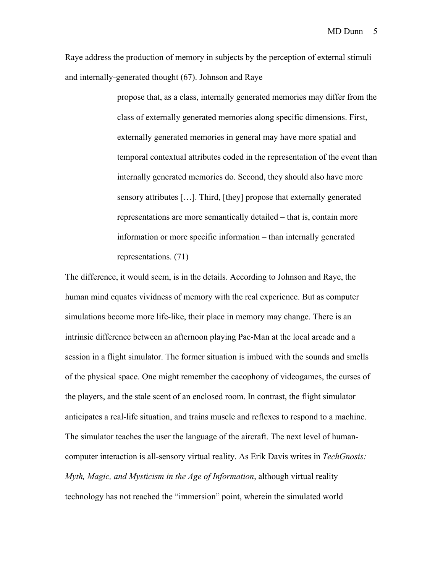Raye address the production of memory in subjects by the perception of external stimuli and internally-generated thought (67). Johnson and Raye

> propose that, as a class, internally generated memories may differ from the class of externally generated memories along specific dimensions. First, externally generated memories in general may have more spatial and temporal contextual attributes coded in the representation of the event than internally generated memories do. Second, they should also have more sensory attributes […]. Third, [they] propose that externally generated representations are more semantically detailed – that is, contain more information or more specific information – than internally generated representations. (71)

The difference, it would seem, is in the details. According to Johnson and Raye, the human mind equates vividness of memory with the real experience. But as computer simulations become more life-like, their place in memory may change. There is an intrinsic difference between an afternoon playing Pac-Man at the local arcade and a session in a flight simulator. The former situation is imbued with the sounds and smells of the physical space. One might remember the cacophony of videogames, the curses of the players, and the stale scent of an enclosed room. In contrast, the flight simulator anticipates a real-life situation, and trains muscle and reflexes to respond to a machine. The simulator teaches the user the language of the aircraft. The next level of humancomputer interaction is all-sensory virtual reality. As Erik Davis writes in *TechGnosis: Myth, Magic, and Mysticism in the Age of Information*, although virtual reality technology has not reached the "immersion" point, wherein the simulated world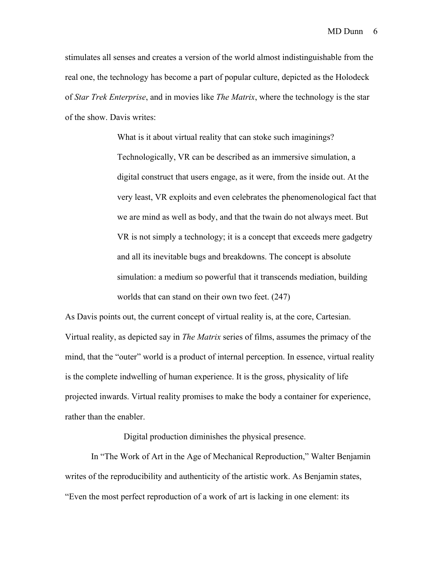stimulates all senses and creates a version of the world almost indistinguishable from the real one, the technology has become a part of popular culture, depicted as the Holodeck of *Star Trek Enterprise*, and in movies like *The Matrix*, where the technology is the star of the show. Davis writes:

> What is it about virtual reality that can stoke such imaginings? Technologically, VR can be described as an immersive simulation, a digital construct that users engage, as it were, from the inside out. At the very least, VR exploits and even celebrates the phenomenological fact that we are mind as well as body, and that the twain do not always meet. But VR is not simply a technology; it is a concept that exceeds mere gadgetry and all its inevitable bugs and breakdowns. The concept is absolute simulation: a medium so powerful that it transcends mediation, building worlds that can stand on their own two feet. (247)

As Davis points out, the current concept of virtual reality is, at the core, Cartesian. Virtual reality, as depicted say in *The Matrix* series of films, assumes the primacy of the mind, that the "outer" world is a product of internal perception. In essence, virtual reality is the complete indwelling of human experience. It is the gross, physicality of life projected inwards. Virtual reality promises to make the body a container for experience, rather than the enabler.

Digital production diminishes the physical presence.

In "The Work of Art in the Age of Mechanical Reproduction," Walter Benjamin writes of the reproducibility and authenticity of the artistic work. As Benjamin states, "Even the most perfect reproduction of a work of art is lacking in one element: its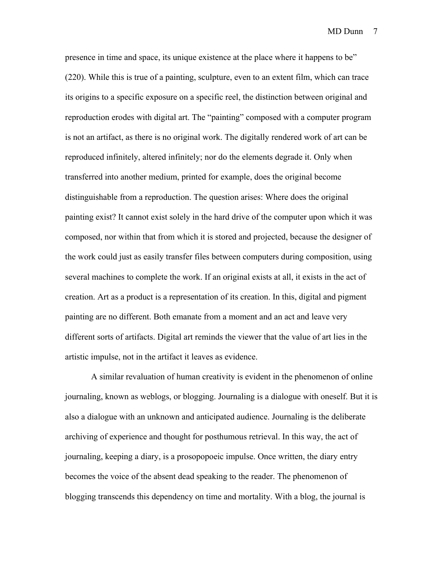presence in time and space, its unique existence at the place where it happens to be" (220). While this is true of a painting, sculpture, even to an extent film, which can trace its origins to a specific exposure on a specific reel, the distinction between original and reproduction erodes with digital art. The "painting" composed with a computer program is not an artifact, as there is no original work. The digitally rendered work of art can be reproduced infinitely, altered infinitely; nor do the elements degrade it. Only when transferred into another medium, printed for example, does the original become distinguishable from a reproduction. The question arises: Where does the original painting exist? It cannot exist solely in the hard drive of the computer upon which it was composed, nor within that from which it is stored and projected, because the designer of the work could just as easily transfer files between computers during composition, using several machines to complete the work. If an original exists at all, it exists in the act of creation. Art as a product is a representation of its creation. In this, digital and pigment painting are no different. Both emanate from a moment and an act and leave very different sorts of artifacts. Digital art reminds the viewer that the value of art lies in the artistic impulse, not in the artifact it leaves as evidence.

A similar revaluation of human creativity is evident in the phenomenon of online journaling, known as weblogs, or blogging. Journaling is a dialogue with oneself. But it is also a dialogue with an unknown and anticipated audience. Journaling is the deliberate archiving of experience and thought for posthumous retrieval. In this way, the act of journaling, keeping a diary, is a prosopopoeic impulse. Once written, the diary entry becomes the voice of the absent dead speaking to the reader. The phenomenon of blogging transcends this dependency on time and mortality. With a blog, the journal is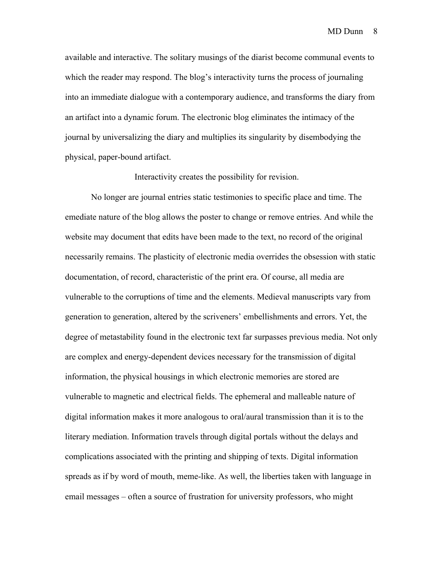available and interactive. The solitary musings of the diarist become communal events to which the reader may respond. The blog's interactivity turns the process of journaling into an immediate dialogue with a contemporary audience, and transforms the diary from an artifact into a dynamic forum. The electronic blog eliminates the intimacy of the journal by universalizing the diary and multiplies its singularity by disembodying the physical, paper-bound artifact.

Interactivity creates the possibility for revision.

No longer are journal entries static testimonies to specific place and time. The emediate nature of the blog allows the poster to change or remove entries. And while the website may document that edits have been made to the text, no record of the original necessarily remains. The plasticity of electronic media overrides the obsession with static documentation, of record, characteristic of the print era. Of course, all media are vulnerable to the corruptions of time and the elements. Medieval manuscripts vary from generation to generation, altered by the scriveners' embellishments and errors. Yet, the degree of metastability found in the electronic text far surpasses previous media. Not only are complex and energy-dependent devices necessary for the transmission of digital information, the physical housings in which electronic memories are stored are vulnerable to magnetic and electrical fields. The ephemeral and malleable nature of digital information makes it more analogous to oral/aural transmission than it is to the literary mediation. Information travels through digital portals without the delays and complications associated with the printing and shipping of texts. Digital information spreads as if by word of mouth, meme-like. As well, the liberties taken with language in email messages – often a source of frustration for university professors, who might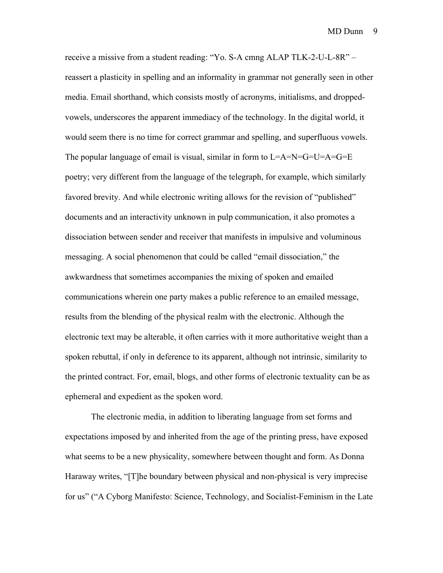receive a missive from a student reading: "Yo. S-A cmng ALAP TLK-2-U-L-8R" – reassert a plasticity in spelling and an informality in grammar not generally seen in other media. Email shorthand, which consists mostly of acronyms, initialisms, and droppedvowels, underscores the apparent immediacy of the technology. In the digital world, it would seem there is no time for correct grammar and spelling, and superfluous vowels. The popular language of email is visual, similar in form to  $L=A=N=G=U=A=GE$ poetry; very different from the language of the telegraph, for example, which similarly favored brevity. And while electronic writing allows for the revision of "published" documents and an interactivity unknown in pulp communication, it also promotes a dissociation between sender and receiver that manifests in impulsive and voluminous messaging. A social phenomenon that could be called "email dissociation," the awkwardness that sometimes accompanies the mixing of spoken and emailed communications wherein one party makes a public reference to an emailed message, results from the blending of the physical realm with the electronic. Although the electronic text may be alterable, it often carries with it more authoritative weight than a spoken rebuttal, if only in deference to its apparent, although not intrinsic, similarity to the printed contract. For, email, blogs, and other forms of electronic textuality can be as ephemeral and expedient as the spoken word.

The electronic media, in addition to liberating language from set forms and expectations imposed by and inherited from the age of the printing press, have exposed what seems to be a new physicality, somewhere between thought and form. As Donna Haraway writes, "[T]he boundary between physical and non-physical is very imprecise for us" ("A Cyborg Manifesto: Science, Technology, and Socialist-Feminism in the Late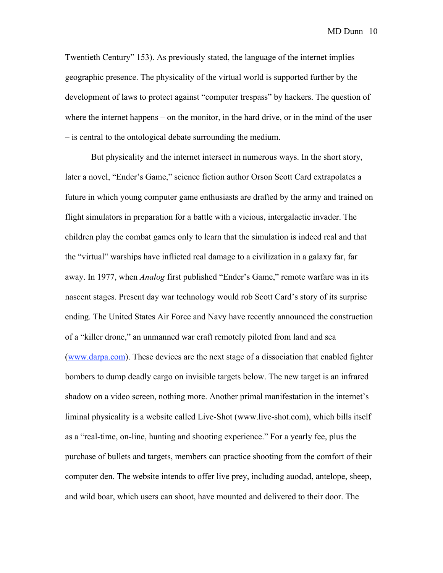Twentieth Century" 153). As previously stated, the language of the internet implies geographic presence. The physicality of the virtual world is supported further by the development of laws to protect against "computer trespass" by hackers. The question of where the internet happens – on the monitor, in the hard drive, or in the mind of the user – is central to the ontological debate surrounding the medium.

But physicality and the internet intersect in numerous ways. In the short story, later a novel, "Ender's Game," science fiction author Orson Scott Card extrapolates a future in which young computer game enthusiasts are drafted by the army and trained on flight simulators in preparation for a battle with a vicious, intergalactic invader. The children play the combat games only to learn that the simulation is indeed real and that the "virtual" warships have inflicted real damage to a civilization in a galaxy far, far away. In 1977, when *Analog* first published "Ender's Game," remote warfare was in its nascent stages. Present day war technology would rob Scott Card's story of its surprise ending. The United States Air Force and Navy have recently announced the construction of a "killer drone," an unmanned war craft remotely piloted from land and sea (www.darpa.com). These devices are the next stage of a dissociation that enabled fighter bombers to dump deadly cargo on invisible targets below. The new target is an infrared shadow on a video screen, nothing more. Another primal manifestation in the internet's liminal physicality is a website called Live-Shot (www.live-shot.com), which bills itself as a "real-time, on-line, hunting and shooting experience." For a yearly fee, plus the purchase of bullets and targets, members can practice shooting from the comfort of their computer den. The website intends to offer live prey, including auodad, antelope, sheep, and wild boar, which users can shoot, have mounted and delivered to their door. The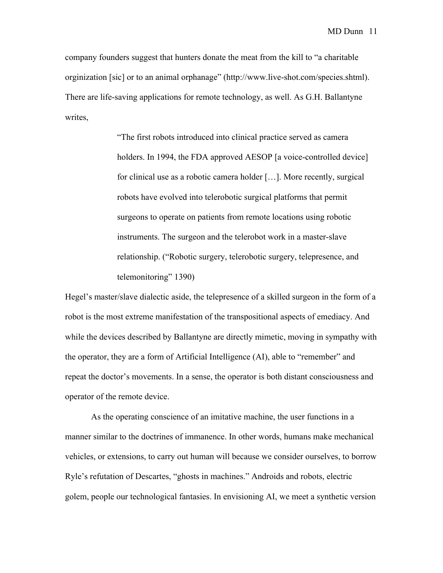company founders suggest that hunters donate the meat from the kill to "a charitable orginization [sic] or to an animal orphanage" (http://www.live-shot.com/species.shtml). There are life-saving applications for remote technology, as well. As G.H. Ballantyne writes,

> "The first robots introduced into clinical practice served as camera holders. In 1994, the FDA approved AESOP [a voice-controlled device] for clinical use as a robotic camera holder […]. More recently, surgical robots have evolved into telerobotic surgical platforms that permit surgeons to operate on patients from remote locations using robotic instruments. The surgeon and the telerobot work in a master-slave relationship. ("Robotic surgery, telerobotic surgery, telepresence, and telemonitoring" 1390)

Hegel's master/slave dialectic aside, the telepresence of a skilled surgeon in the form of a robot is the most extreme manifestation of the transpositional aspects of emediacy. And while the devices described by Ballantyne are directly mimetic, moving in sympathy with the operator, they are a form of Artificial Intelligence (AI), able to "remember" and repeat the doctor's movements. In a sense, the operator is both distant consciousness and operator of the remote device.

As the operating conscience of an imitative machine, the user functions in a manner similar to the doctrines of immanence. In other words, humans make mechanical vehicles, or extensions, to carry out human will because we consider ourselves, to borrow Ryle's refutation of Descartes, "ghosts in machines." Androids and robots, electric golem, people our technological fantasies. In envisioning AI, we meet a synthetic version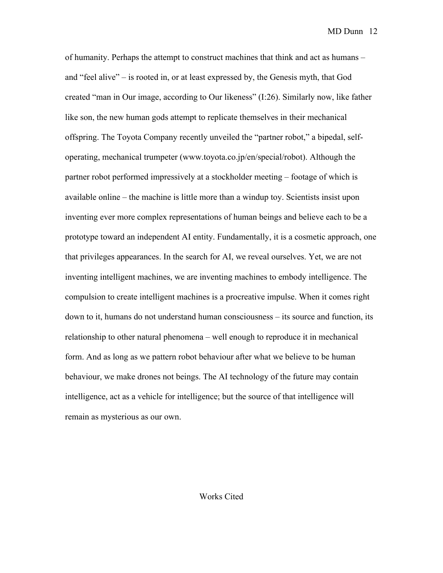of humanity. Perhaps the attempt to construct machines that think and act as humans – and "feel alive" – is rooted in, or at least expressed by, the Genesis myth, that God created "man in Our image, according to Our likeness" (I:26). Similarly now, like father like son, the new human gods attempt to replicate themselves in their mechanical offspring. The Toyota Company recently unveiled the "partner robot," a bipedal, selfoperating, mechanical trumpeter (www.toyota.co.jp/en/special/robot). Although the partner robot performed impressively at a stockholder meeting – footage of which is available online – the machine is little more than a windup toy. Scientists insist upon inventing ever more complex representations of human beings and believe each to be a prototype toward an independent AI entity. Fundamentally, it is a cosmetic approach, one that privileges appearances. In the search for AI, we reveal ourselves. Yet, we are not inventing intelligent machines, we are inventing machines to embody intelligence. The compulsion to create intelligent machines is a procreative impulse. When it comes right down to it, humans do not understand human consciousness – its source and function, its relationship to other natural phenomena – well enough to reproduce it in mechanical form. And as long as we pattern robot behaviour after what we believe to be human behaviour, we make drones not beings. The AI technology of the future may contain intelligence, act as a vehicle for intelligence; but the source of that intelligence will remain as mysterious as our own.